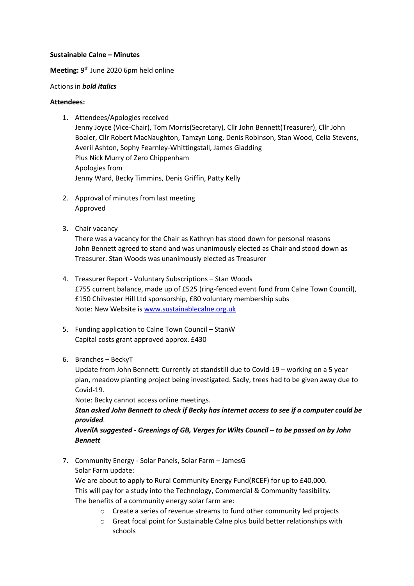#### **Sustainable Calne – Minutes**

## Meeting: 9<sup>th</sup> June 2020 6pm held online

#### Actions in *bold italics*

### **Attendees:**

- 1. Attendees/Apologies received Jenny Joyce (Vice-Chair), Tom Morris(Secretary), Cllr John Bennett(Treasurer), Cllr John Boaler, Cllr Robert MacNaughton, Tamzyn Long, Denis Robinson, Stan Wood, Celia Stevens, Averil Ashton, Sophy Fearnley-Whittingstall, James Gladding Plus Nick Murry of Zero Chippenham Apologies from Jenny Ward, Becky Timmins, Denis Griffin, Patty Kelly
- 2. Approval of minutes from last meeting Approved
- 3. Chair vacancy

There was a vacancy for the Chair as Kathryn has stood down for personal reasons John Bennett agreed to stand and was unanimously elected as Chair and stood down as Treasurer. Stan Woods was unanimously elected as Treasurer

- 4. Treasurer Report Voluntary Subscriptions Stan Woods £755 current balance, made up of £525 (ring-fenced event fund from Calne Town Council), £150 Chilvester Hill Ltd sponsorship, £80 voluntary membership subs Note: New Website is [www.sustainablecalne.org.uk](http://www.sustainablecalne.org.uk/)
- 5. Funding application to Calne Town Council StanW Capital costs grant approved approx. £430
- 6. Branches BeckyT

Update from John Bennett: Currently at standstill due to Covid-19 – working on a 5 year plan, meadow planting project being investigated. Sadly, trees had to be given away due to Covid-19.

Note: Becky cannot access online meetings.

*Stan asked John Bennett to check if Becky has internet access to see if a computer could be provided.*

*AverilA suggested - Greenings of GB, Verges for Wilts Council – to be passed on by John Bennett*

7. Community Energy - Solar Panels, Solar Farm – JamesG Solar Farm update:

We are about to apply to Rural Community Energy Fund(RCEF) for up to £40,000. This will pay for a study into the Technology, Commercial & Community feasibility. The benefits of a community energy solar farm are:

- o Create a series of revenue streams to fund other community led projects
- o Great focal point for Sustainable Calne plus build better relationships with schools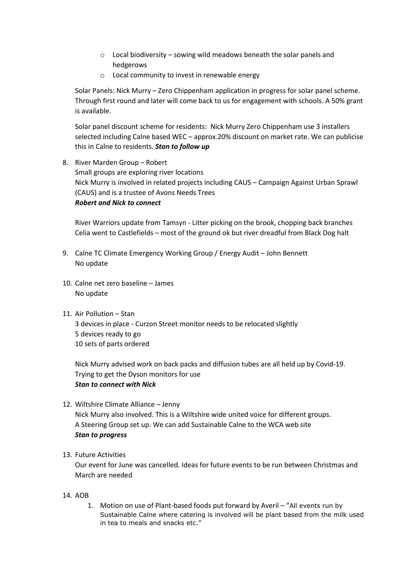- o Local biodiversity sowing wild meadows beneath the solar panels and hedgerows
- o Local community to invest in renewable energy

Solar Panels: Nick Murry – Zero Chippenham application in progress for solar panel scheme. Through first round and later will come back to us for engagement with schools. A 50% grant is available.

Solar panel discount scheme for residents: Nick Murry Zero Chippenham use 3 installers selected including Calne based WEC – approx.20% discount on market rate. We can publicise this in Calne to residents. *Stan to follow up*

8. River Marden Group – Robert Small groups are exploring river locations Nick Murry is involved in related projects including CAUS – Campaign Against Urban Sprawl (CAUS) and is a trustee of Avons Needs Trees *Robert and Nick to connect*

River Warriors update from Tamsyn - Litter picking on the brook, chopping back branches Celia went to Castlefields – most of the ground ok but river dreadful from Black Dog halt

- 9. Calne TC Climate Emergency Working Group / Energy Audit John Bennett No update
- 10. Calne net zero baseline James No update
- 11. Air Pollution Stan 3 devices in place - Curzon Street monitor needs to be relocated slightly 5 devices ready to go 10 sets of parts ordered

Nick Murry advised work on back packs and diffusion tubes are all held up by Covid-19. Trying to get the Dyson monitors for use *Stan to connect with Nick*

12. Wiltshire Climate Alliance – Jenny Nick Murry also involved. This is a Wiltshire wide united voice for different groups. A Steering Group set up. We can add Sustainable Calne to the WCA web site *Stan to progress*

# 13. Future Activities

Our event for June was cancelled. Ideas for future events to be run between Christmas and March are needed

- 14. AOB
	- 1. Motion on use of Plant-based foods put forward by Averil "All events run by Sustainable Calne where catering is involved will be plant based from the milk used in tea to meals and snacks etc."